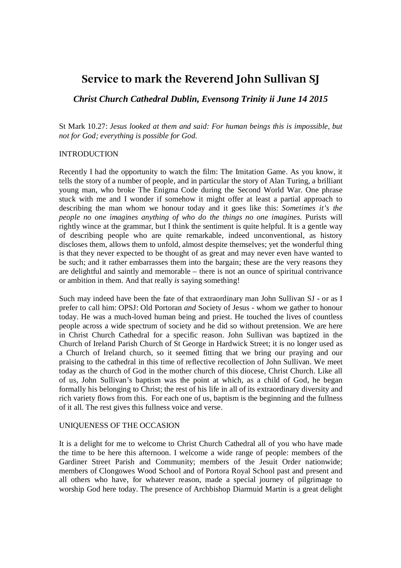# **Service to mark the Reverend John Sullivan SJ**

*Christ Church Cathedral Dublin, Evensong Trinity ii June 14 2015* 

St Mark 10.27: *Jesus looked at them and said: For human beings this is impossible, but not for God; everything is possible for God.* 

#### INTRODUCTION

Recently I had the opportunity to watch the film: The Imitation Game. As you know, it tells the story of a number of people, and in particular the story of Alan Turing, a brilliant young man, who broke The Enigma Code during the Second World War. One phrase stuck with me and I wonder if somehow it might offer at least a partial approach to describing the man whom we honour today and it goes like this: *Sometimes it's the people no one imagines anything of who do the things no one imagines.* Purists will rightly wince at the grammar, but I think the sentiment is quite helpful. It is a gentle way of describing people who are quite remarkable, indeed unconventional, as history discloses them, allows them to unfold, almost despite themselves; yet the wonderful thing is that they never expected to be thought of as great and may never even have wanted to be such; and it rather embarrasses them into the bargain; these are the very reasons they are delightful and saintly and memorable – there is not an ounce of spiritual contrivance or ambition in them. And that really *is* saying something!

Such may indeed have been the fate of that extraordinary man John Sullivan SJ - or as I prefer to call him: OPSJ: Old Portoran *and* Society of Jesus - whom we gather to honour today. He was a much-loved human being and priest. He touched the lives of countless people across a wide spectrum of society and he did so without pretension. We are here in Christ Church Cathedral for a specific reason. John Sullivan was baptized in the Church of Ireland Parish Church of St George in Hardwick Street; it is no longer used as a Church of Ireland church, so it seemed fitting that we bring our praying and our praising to the cathedral in this time of reflective recollection of John Sullivan. We meet today as the church of God in the mother church of this diocese, Christ Church. Like all of us, John Sullivan's baptism was the point at which, as a child of God, he began formally his belonging to Christ; the rest of his life in all of its extraordinary diversity and rich variety flows from this. For each one of us, baptism is the beginning and the fullness of it all. The rest gives this fullness voice and verse.

### UNIQUENESS OF THE OCCASION

It is a delight for me to welcome to Christ Church Cathedral all of you who have made the time to be here this afternoon. I welcome a wide range of people: members of the Gardiner Street Parish and Community; members of the Jesuit Order nationwide; members of Clongowes Wood School and of Portora Royal School past and present and all others who have, for whatever reason, made a special journey of pilgrimage to worship God here today. The presence of Archbishop Diarmuid Martin is a great delight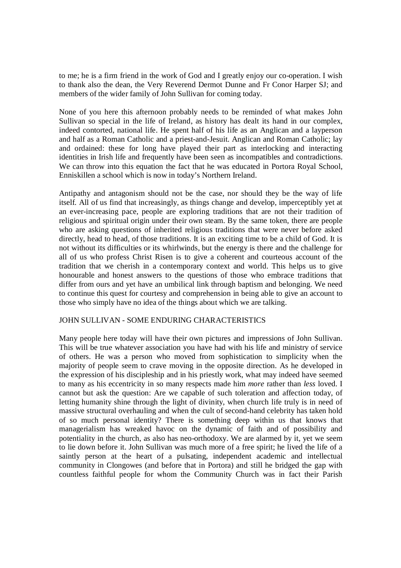to me; he is a firm friend in the work of God and I greatly enjoy our co-operation. I wish to thank also the dean, the Very Reverend Dermot Dunne and Fr Conor Harper SJ; and members of the wider family of John Sullivan for coming today.

None of you here this afternoon probably needs to be reminded of what makes John Sullivan so special in the life of Ireland, as history has dealt its hand in our complex, indeed contorted, national life. He spent half of his life as an Anglican and a layperson and half as a Roman Catholic and a priest-and-Jesuit. Anglican and Roman Catholic; lay and ordained: these for long have played their part as interlocking and interacting identities in Irish life and frequently have been seen as incompatibles and contradictions. We can throw into this equation the fact that he was educated in Portora Royal School, Enniskillen a school which is now in today's Northern Ireland.

Antipathy and antagonism should not be the case, nor should they be the way of life itself. All of us find that increasingly, as things change and develop, imperceptibly yet at an ever-increasing pace, people are exploring traditions that are not their tradition of religious and spiritual origin under their own steam. By the same token, there are people who are asking questions of inherited religious traditions that were never before asked directly, head to head, of those traditions. It is an exciting time to be a child of God. It is not without its difficulties or its whirlwinds, but the energy is there and the challenge for all of us who profess Christ Risen is to give a coherent and courteous account of the tradition that we cherish in a contemporary context and world. This helps us to give honourable and honest answers to the questions of those who embrace traditions that differ from ours and yet have an umbilical link through baptism and belonging. We need to continue this quest for courtesy and comprehension in being able to give an account to those who simply have no idea of the things about which we are talking.

### JOHN SULLIVAN - SOME ENDURING CHARACTERISTICS

Many people here today will have their own pictures and impressions of John Sullivan. This will be true whatever association you have had with his life and ministry of service of others. He was a person who moved from sophistication to simplicity when the majority of people seem to crave moving in the opposite direction. As he developed in the expression of his discipleship and in his priestly work, what may indeed have seemed to many as his eccentricity in so many respects made him *more* rather than *less* loved. I cannot but ask the question: Are we capable of such toleration and affection today, of letting humanity shine through the light of divinity, when church life truly is in need of massive structural overhauling and when the cult of second-hand celebrity has taken hold of so much personal identity? There is something deep within us that knows that managerialism has wreaked havoc on the dynamic of faith and of possibility and potentiality in the church, as also has neo-orthodoxy. We are alarmed by it, yet we seem to lie down before it. John Sullivan was much more of a free spirit; he lived the life of a saintly person at the heart of a pulsating, independent academic and intellectual community in Clongowes (and before that in Portora) and still he bridged the gap with countless faithful people for whom the Community Church was in fact their Parish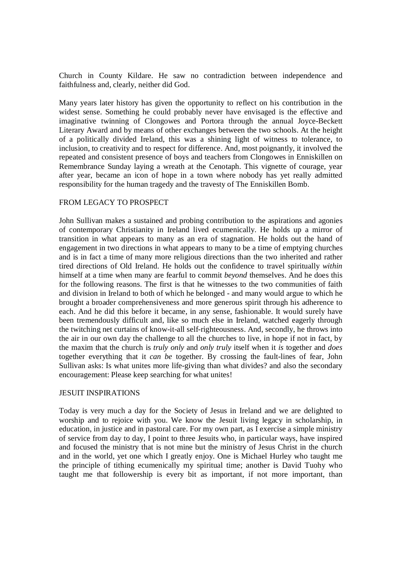Church in County Kildare. He saw no contradiction between independence and faithfulness and, clearly, neither did God.

Many years later history has given the opportunity to reflect on his contribution in the widest sense. Something he could probably never have envisaged is the effective and imaginative twinning of Clongowes and Portora through the annual Joyce-Beckett Literary Award and by means of other exchanges between the two schools. At the height of a politically divided Ireland, this was a shining light of witness to tolerance, to inclusion, to creativity and to respect for difference. And, most poignantly, it involved the repeated and consistent presence of boys and teachers from Clongowes in Enniskillen on Remembrance Sunday laying a wreath at the Cenotaph. This vignette of courage, year after year, became an icon of hope in a town where nobody has yet really admitted responsibility for the human tragedy and the travesty of The Enniskillen Bomb.

## FROM LEGACY TO PROSPECT

John Sullivan makes a sustained and probing contribution to the aspirations and agonies of contemporary Christianity in Ireland lived ecumenically. He holds up a mirror of transition in what appears to many as an era of stagnation. He holds out the hand of engagement in two directions in what appears to many to be a time of emptying churches and is in fact a time of many more religious directions than the two inherited and rather tired directions of Old Ireland. He holds out the confidence to travel spiritually *within*  himself at a time when many are fearful to commit *beyond* themselves. And he does this for the following reasons. The first is that he witnesses to the two communities of faith and division in Ireland to both of which he belonged - and many would argue to which he brought a broader comprehensiveness and more generous spirit through his adherence to each. And he did this before it became, in any sense, fashionable. It would surely have been tremendously difficult and, like so much else in Ireland, watched eagerly through the twitching net curtains of know-it-all self-righteousness. And, secondly, he throws into the air in our own day the challenge to all the churches to live, in hope if not in fact, by the maxim that the church is *truly only* and *only truly* itself when it *is* together and *does* together everything that it *can be* together. By crossing the fault-lines of fear, John Sullivan asks: Is what unites more life-giving than what divides? and also the secondary encouragement: Please keep searching for what unites!

### JESUIT INSPIRATIONS

Today is very much a day for the Society of Jesus in Ireland and we are delighted to worship and to rejoice with you. We know the Jesuit living legacy in scholarship, in education, in justice and in pastoral care. For my own part, as I exercise a simple ministry of service from day to day, I point to three Jesuits who, in particular ways, have inspired and focused the ministry that is not mine but the ministry of Jesus Christ in the church and in the world, yet one which I greatly enjoy. One is Michael Hurley who taught me the principle of tithing ecumenically my spiritual time; another is David Tuohy who taught me that followership is every bit as important, if not more important, than